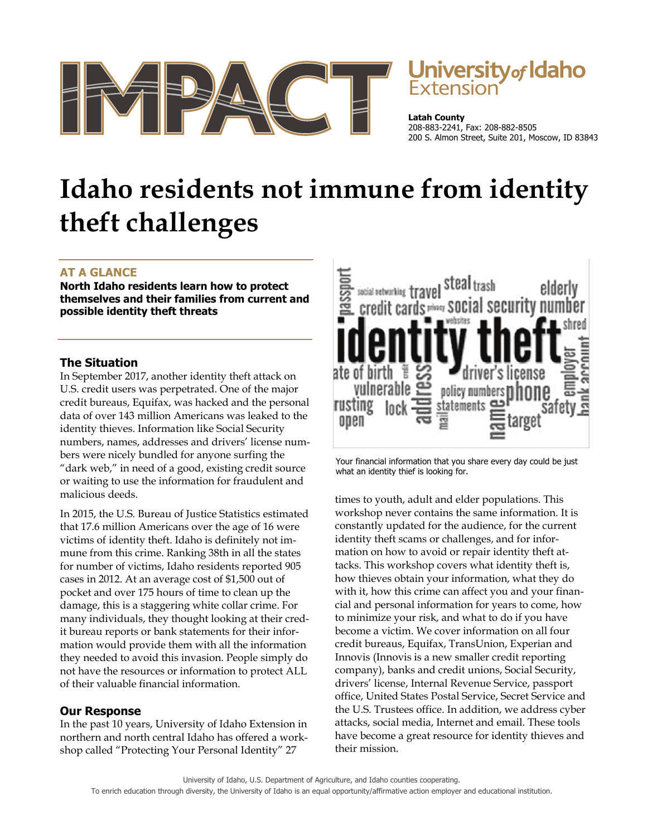

# Jniversity*of* Idaho

**Latah County**  208-883-2241, Fax: 208-882-8505 200 S. Almon Street, Suite 201, Moscow, ID 83843

# **Idaho residents not immune from identity theft challenges**

# **AT A GLANCE**

**North Idaho residents learn how to protect themselves and their families from current and possible identity theft threats** 

## **The Situation**

In September 2017, another identity theft attack on U.S. credit users was perpetrated. One of the major credit bureaus, Equifax, was hacked and the personal data of over 143 million Americans was leaked to the identity thieves. Information like Social Security numbers, names, addresses and drivers' license numbers were nicely bundled for anyone surfing the "dark web," in need of a good, existing credit source or waiting to use the information for fraudulent and malicious deeds.

In 2015, the U.S. Bureau of Justice Statistics estimated that 17.6 million Americans over the age of 16 were victims of identity theft. Idaho is definitely not immune from this crime. Ranking 38th in all the states for number of victims, Idaho residents reported 905 cases in 2012. At an average cost of \$1,500 out of pocket and over 175 hours of time to clean up the damage, this is a staggering white collar crime. For many individuals, they thought looking at their credit bureau reports or bank statements for their information would provide them with all the information they needed to avoid this invasion. People simply do not have the resources or information to protect ALL of their valuable financial information.

### **Our Response**

In the past 10 years, University of Idaho Extension in northern and north central Idaho has offered a workshop called "Protecting Your Personal Identity" 27



Your financial information that you share every day could be just what an identity thief is looking for.

times to youth, adult and elder populations. This workshop never contains the same information. It is constantly updated for the audience, for the current identity theft scams or challenges, and for information on how to avoid or repair identity theft attacks. This workshop covers what identity theft is, how thieves obtain your information, what they do with it, how this crime can affect you and your financial and personal information for years to come, how to minimize your risk, and what to do if you have become a victim. We cover information on all four credit bureaus, Equifax, TransUnion, Experian and Innovis (Innovis is a new smaller credit reporting company), banks and credit unions, Social Security, drivers' license, Internal Revenue Service, passport office, United States Postal Service, Secret Service and the U.S. Trustees office. In addition, we address cyber attacks, social media, Internet and email. These tools have become a great resource for identity thieves and their mission.